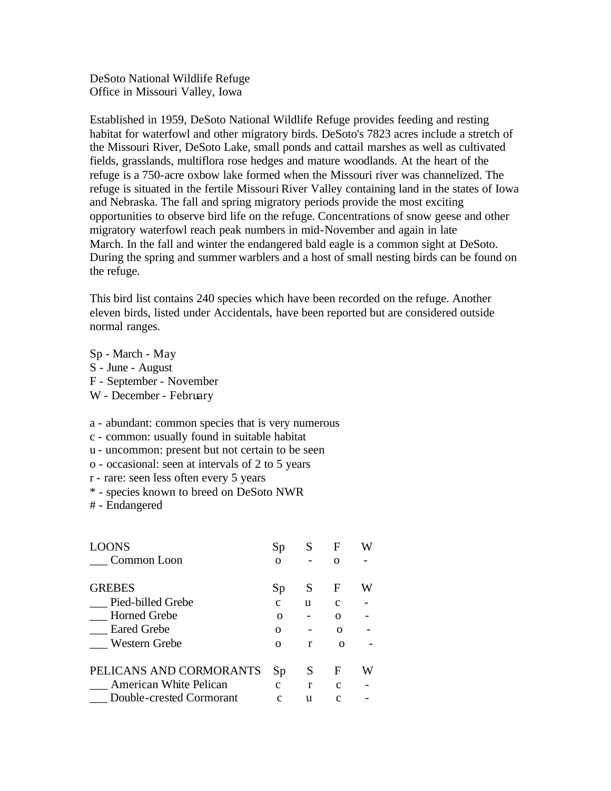DeSoto National Wildlife Refuge Office in Missouri Valley, Iowa

Established in 1959, DeSoto National Wildlife Refuge provides feeding and resting habitat for waterfowl and other migratory birds. DeSoto's 7823 acres include a stretch of the Missouri River, DeSoto Lake, small ponds and cattail marshes as well as cultivated fields, grasslands, multiflora rose hedges and mature woodlands. At the heart of the refuge is a 750-acre oxbow lake formed when the Missouri river was channelized. The refuge is situated in the fertile Missouri River Valley containing land in the states of Iowa and Nebraska. The fall and spring migratory periods provide the most exciting opportunities to observe bird life on the refuge. Concentrations of snow geese and other migratory waterfowl reach peak numbers in mid-November and again in late March. In the fall and winter the endangered bald eagle is a common sight at DeSoto. During the spring and summer warblers and a host of small nesting birds can be found on the refuge.

This bird list contains 240 species which have been recorded on the refuge. Another eleven birds, listed under Accidentals, have been reported but are considered outside normal ranges.

Sp - March - May S - June - August F - September - November W - December - February

a - abundant: common species that is very numerous

c - common: usually found in suitable habitat

u - uncommon: present but not certain to be seen

o - occasional: seen at intervals of 2 to 5 years

r - rare: seen less often every 5 years

\* - species known to breed on DeSoto NWR

# - Endangered

| <b>LOONS</b>             | Sp            | S  | F             |   |
|--------------------------|---------------|----|---------------|---|
| Common Loon              | Ω             |    |               |   |
| <b>GREBES</b>            | Sp            | S  | F             | W |
| Pied-billed Grebe        | C             | u  | $\mathcal{C}$ |   |
| <b>Horned Grebe</b>      | $\Omega$      |    | O             |   |
| <b>Eared Grebe</b>       | റ             |    | റ             |   |
| Western Grebe            | Ω             | r  | ∩             |   |
| PELICANS AND CORMORANTS  | Sp            | S  | F             | W |
| American White Pelican   | $\mathcal{C}$ | r  | $\mathcal{C}$ |   |
| Double-crested Cormorant | $\mathcal{C}$ | 11 | C             |   |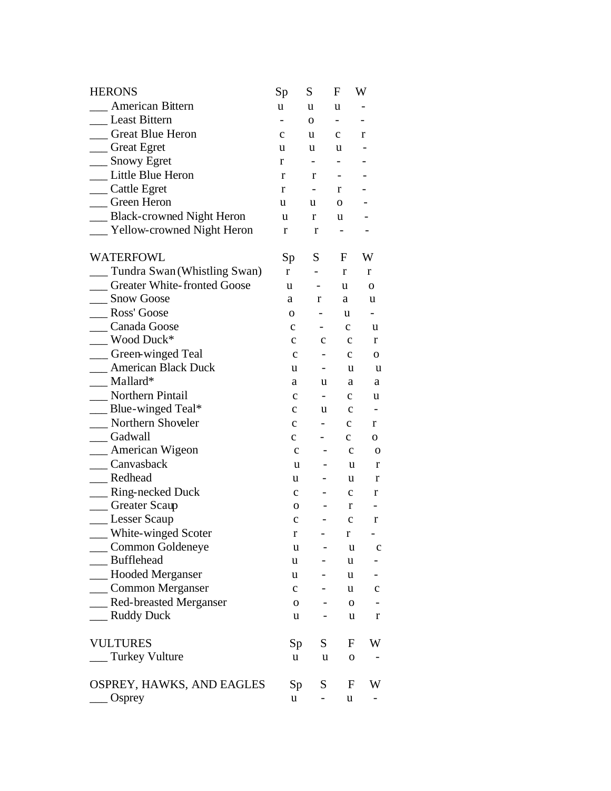| <b>HERONS</b>                      | Sp           | S                        | F                        | W                        |
|------------------------------------|--------------|--------------------------|--------------------------|--------------------------|
| American Bittern                   | u            | u                        | u                        |                          |
| <b>Least Bittern</b>               |              | 0                        | $\overline{\phantom{0}}$ |                          |
| <b>Great Blue Heron</b>            | $\mathbf{C}$ | u                        | $\mathbf{C}$             | r                        |
| <sub>Creat</sub> Egret             | u            | u                        | u                        |                          |
| __ Snowy Egret                     | r            | $\overline{\phantom{0}}$ |                          |                          |
| Little Blue Heron                  | r            | r                        |                          |                          |
| __ Cattle Egret                    | r            |                          | r                        |                          |
| Green Heron                        | u            | u                        | 0                        |                          |
| __ Black-crowned Night Heron       | u            | r                        | u                        |                          |
| __ Yellow-crowned Night Heron      | r            | r                        |                          |                          |
| WATERFOWL                          | Sp           | $S_{-}$                  | F                        | W                        |
| Tundra Swan (Whistling Swan)       | r            | $\overline{\phantom{0}}$ | r                        | r                        |
| <b>Greater White-fronted Goose</b> | u            |                          | u                        | 0                        |
| __ Snow Goose                      | a            | r                        | a                        | u                        |
| Ross' Goose                        | $\mathbf{O}$ |                          | u                        |                          |
| Canada Goose                       | c            |                          | $\mathbf{C}$             | u                        |
| _ Wood Duck*                       | $\mathbf{c}$ | $\mathbf{c}$             | $\mathbf c$              | r                        |
| __ Green-winged Teal               | $\mathbf c$  |                          | $\mathbf{c}$             | 0                        |
| <b>__ American Black Duck</b>      | u            |                          | u                        | u                        |
| $\_\_$ Mallard*                    | a            | u                        | a                        | a                        |
| Northern Pintail                   | c            | - 1                      | c                        | u                        |
| Blue-winged Teal*                  | $\mathbf{C}$ | u                        | $\mathbf c$              | $\overline{\phantom{a}}$ |
| Northern Shoveler                  | $\mathbf{C}$ |                          | $\mathbf{c}$             | r                        |
| _Gadwall                           | $\mathbf{C}$ |                          | $\mathbf{C}$             | 0                        |
| __ American Wigeon                 | $\mathbf c$  |                          | $\mathbf c$              | $\mathbf{o}$             |
| Canvasback                         | u            |                          | u                        | $\mathbf r$              |
| _Redhead                           | u            | -                        | u                        | r                        |
| _ Ring-necked Duck                 | $\mathbf{C}$ |                          | $\mathbf{C}$             | r                        |
| __ Greater Scaup                   | $\mathbf{O}$ |                          | r                        |                          |
| _ Lesser Scaup                     | $\mathbf c$  |                          | $\mathbf c$              | r                        |
| _ White-winged Scoter              | r            |                          | r                        |                          |
| Common Goldeneye                   | u            |                          | u                        | $\mathbf c$              |
| _Bufflehead                        | u            |                          | u                        |                          |
| _Hooded Merganser                  | u            |                          | u                        | $\blacksquare$           |
| __ Common Merganser                | $\mathbf{C}$ |                          | u                        | $\mathbf C$              |
| __ Red-breasted Merganser          | 0            |                          | 0                        |                          |
| <b>Ruddy Duck</b>                  | u            |                          | u                        | $\mathbf r$              |
| <b>VULTURES</b>                    | Sp           | S                        | F                        | W                        |
| <b>Turkey Vulture</b>              | u            | u                        | 0                        |                          |
| OSPREY, HAWKS, AND EAGLES          | Sp           | S                        | F                        | W                        |
| $\log$                             | u            |                          | u                        |                          |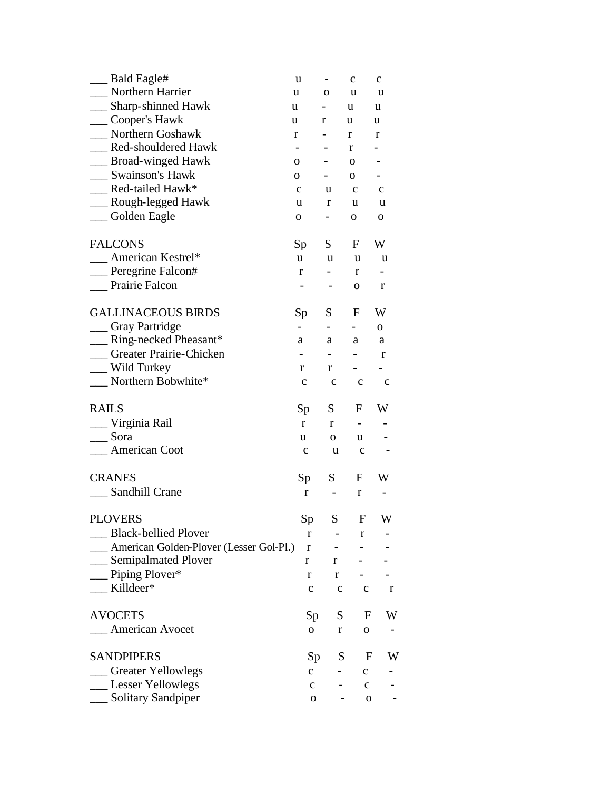| <b>Bald Eagle#</b>                                        | u                        | -                            | $\mathbf{C}$                 | $\mathbf c$              |
|-----------------------------------------------------------|--------------------------|------------------------------|------------------------------|--------------------------|
| Northern Harrier                                          | u                        | 0                            | u                            | u                        |
| Sharp-shinned Hawk<br>u                                   |                          | -                            | u                            | u                        |
| ___ Cooper's Hawk<br>u                                    |                          | r                            | u                            | u                        |
| Northern Goshawk                                          | r                        |                              | r                            | r                        |
| Red-shouldered Hawk                                       | $\overline{\phantom{a}}$ |                              | r                            |                          |
| __ Broad-winged Hawk                                      | 0                        | $\overline{\phantom{0}}$     | $\mathbf 0$                  | $\overline{\phantom{0}}$ |
| <b>Swainson's Hawk</b>                                    | 0                        | $\qquad \qquad \blacksquare$ | 0                            | $\qquad \qquad -$        |
| Red-tailed Hawk*                                          | $\mathbf c$              | u                            | $\mathbf C$                  | $\mathbf{C}$             |
| __ Rough-legged Hawk                                      | u                        | r                            | u                            | u                        |
| Golden Eagle                                              | $\mathbf 0$              | -                            | $\mathbf{O}$                 | $\mathbf O$              |
| <b>FALCONS</b>                                            | Sp                       | S                            | F                            | W                        |
| American Kestrel*                                         | u                        | u                            | u                            | u                        |
| __ Peregrine Falcon#                                      | $\mathbf r$              | $\qquad \qquad -$            | r                            | -                        |
| Prairie Falcon                                            |                          |                              | $\mathbf 0$                  | $\bf r$                  |
| <b>GALLINACEOUS BIRDS</b>                                 | Sp                       | S                            | F                            | W                        |
| <sub>Caray</sub> Partridge                                |                          | $\overline{\phantom{0}}$     |                              | 0                        |
| Ring-necked Pheasant*                                     | a                        | a                            | a                            | a                        |
| Greater Prairie-Chicken                                   | $\overline{\phantom{a}}$ | $\qquad \qquad \blacksquare$ | $\qquad \qquad \blacksquare$ | r                        |
| _ Wild Turkey                                             | r                        | r                            | $\overline{\phantom{0}}$     | -                        |
| Northern Bobwhite*                                        | $\mathbf c$              | $\mathbf{C}$                 | $\mathbf{C}$                 | $\mathbf c$              |
| <b>RAILS</b>                                              | Sp                       | S                            | F                            | W                        |
| Virginia Rail                                             | r                        | $\mathbf r$                  | $\qquad \qquad \blacksquare$ |                          |
| Sora                                                      | u                        | 0                            | u                            |                          |
| American Coot                                             | $\mathbf C$              | u                            | $\mathbf{C}$                 |                          |
| <b>CRANES</b>                                             | Sp                       | S                            | F                            | W                        |
| Sandhill Crane                                            | r                        | $\overline{\phantom{a}}$     | r                            | -                        |
|                                                           |                          |                              |                              |                          |
| <b>PLOVERS</b>                                            | Sp                       | S                            | ${\bf F}$                    | W                        |
| <b>Black-bellied Plover</b>                               | r                        | -                            | r                            |                          |
| <b>Example 21</b> American Golden-Plover (Lesser Gol-Pl.) | $\bf r$                  | $\qquad \qquad \blacksquare$ |                              |                          |
| _ Semipalmated Plover                                     | r                        | r                            |                              |                          |
| Piping Plover*                                            | r                        | r                            |                              |                          |
| Killdeer*                                                 | $\mathbf c$              | $\mathbf C$                  | $\mathbf c$                  | r                        |
| <b>AVOCETS</b>                                            | Sp                       | S                            | F                            | W                        |
|                                                           |                          |                              |                              |                          |
| American Avocet                                           | $\mathbf 0$              | $\bf r$                      | $\mathbf 0$                  |                          |
| <b>SANDPIPERS</b>                                         | Sp                       | S                            | $\mathbf{F}$                 | W                        |
| _Greater Yellowlegs                                       | $\mathbf{C}$             |                              | $\mathbf C$                  |                          |
| ___ Lesser Yellowlegs                                     | $\mathbf{C}$             |                              | $\mathbf C$                  |                          |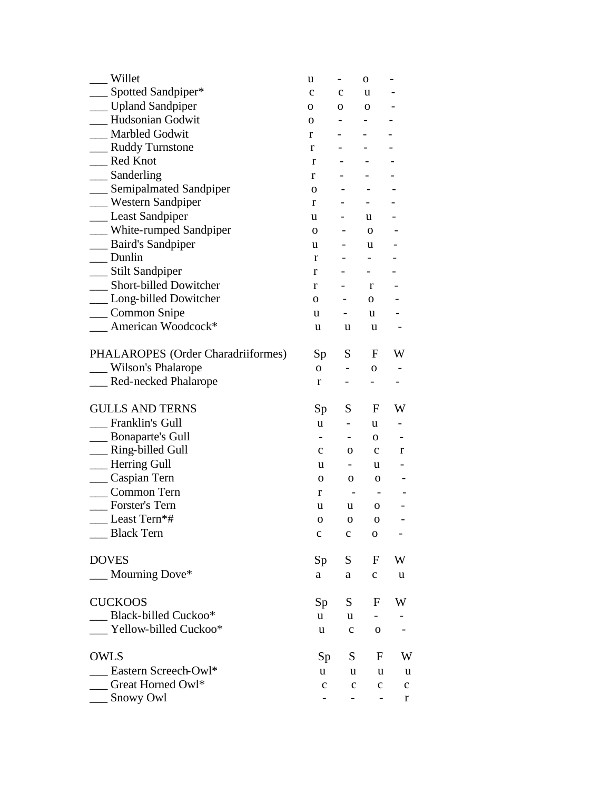| Willet                             | u            |                          | $\mathbf{O}$                 |              |
|------------------------------------|--------------|--------------------------|------------------------------|--------------|
| $\_$ Spotted Sandpiper*            | $\mathbf c$  | $\mathbf c$              | u                            |              |
| _ Upland Sandpiper                 | 0            | 0                        | 0                            |              |
| Hudsonian Godwit                   | $\mathbf{O}$ | -                        | -                            |              |
| <b>Marbled Godwit</b>              | r            | -                        |                              |              |
| _ Ruddy Turnstone                  | r            |                          |                              |              |
| <b>Red Knot</b>                    | r            |                          |                              |              |
| $\Box$ Sanderling                  | r            |                          |                              |              |
| __ Semipalmated Sandpiper          | $\mathbf{O}$ |                          |                              |              |
| _ Western Sandpiper                | r            |                          |                              |              |
| __ Least Sandpiper                 | u            |                          | u                            |              |
| _ White-rumped Sandpiper           | 0            | -                        | 0                            |              |
| _ Baird's Sandpiper                | u            |                          | u                            |              |
| $\Box$ Dunlin                      | r            |                          | $\overline{\phantom{0}}$     |              |
| __ Stilt Sandpiper                 | r            |                          | $\overline{\phantom{0}}$     |              |
| <b>Short-billed Dowitcher</b>      | r            | $\overline{\phantom{0}}$ | r                            |              |
| _ Long-billed Dowitcher            | 0            |                          | $\mathbf{O}$                 |              |
| _Common Snipe                      | u            | $\overline{\phantom{0}}$ | u                            |              |
| American Woodcock*                 | u            | u                        | u                            |              |
| PHALAROPES (Order Charadriiformes) | Sp           | S                        | F                            | W            |
| Wilson's Phalarope                 | $\mathbf{O}$ |                          | O                            |              |
| Red-necked Phalarope               | r            |                          |                              |              |
| <b>GULLS AND TERNS</b>             | Sp           | S                        | F                            | W            |
| Franklin's Gull                    | u            |                          | u                            |              |
| <b>Bonaparte's Gull</b>            |              |                          | 0                            |              |
| _Ring-billed Gull                  | $\mathbf{c}$ | 0                        | $\mathbf{c}$                 | r            |
| - Herring Gull                     | u            | $-$                      | u                            |              |
| __ Caspian Tern                    | 0            | 0                        | 0                            |              |
| Common Tern                        | r            |                          | $\overline{\phantom{a}}$     |              |
| Forster's Tern                     | u            | u                        | 0                            |              |
| Least Tern*#                       | 0            | 0                        | $\Omega$                     |              |
| <b>Black Tern</b>                  | с            | $\mathbf c$              | 0                            |              |
| <b>DOVES</b>                       | Sp           | S.                       | F                            | W            |
| Mourning Dove*                     | a            | a                        | $\mathbf C$                  | u            |
| <b>CUCKOOS</b>                     | Sp           | S.                       | F                            | W            |
| <b>Black-billed Cuckoo*</b>        | u            | u                        |                              |              |
| Yellow-billed Cuckoo*              | u            | $\mathbf c$              | $\mathbf 0$                  |              |
| <b>OWLS</b>                        | Sp           | S                        | F                            | W            |
| Eastern Screech-Owl*               | u            | u                        | u                            | u            |
| Great Horned Owl*                  | $\mathbf c$  | $\mathbf c$              | $\mathbf{C}$                 | $\mathbf{C}$ |
| Snowy Owl                          |              | $\overline{\phantom{0}}$ | $\qquad \qquad \blacksquare$ | $\mathbf r$  |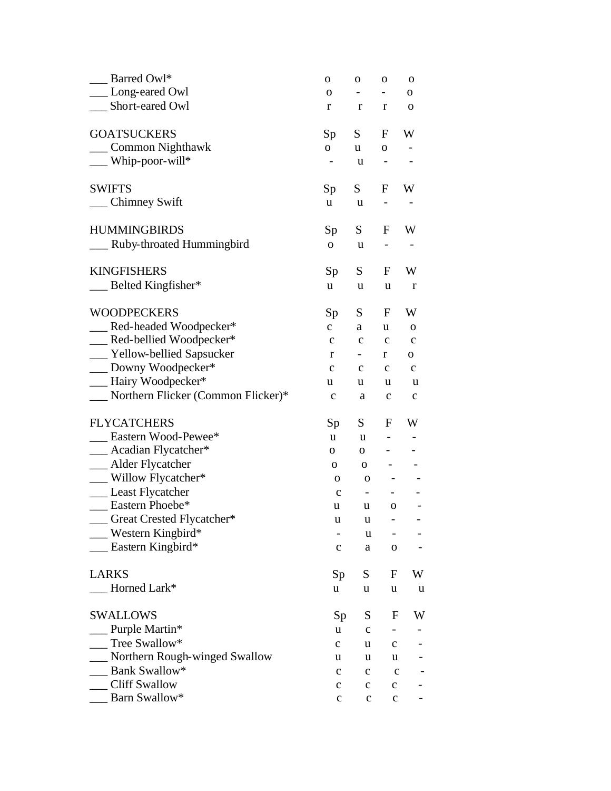| Barred Owl*                        | $\mathbf O$              | O                        | $\mathbf O$                  | O            |
|------------------------------------|--------------------------|--------------------------|------------------------------|--------------|
| Long-eared Owl                     | $\mathbf{O}$             | $\overline{\phantom{a}}$ | Ξ.                           | $\mathbf 0$  |
| Short-eared Owl                    | r                        | r                        | r                            | $\mathbf 0$  |
| <b>GOATSUCKERS</b>                 | Sp                       | S                        | F                            | W            |
| Common Nighthawk                   | $\overline{O}$           | u                        | $\mathbf{O}$                 |              |
| Whip-poor-will*                    | $\overline{\phantom{0}}$ | u                        | $\qquad \qquad \blacksquare$ |              |
| <b>SWIFTS</b>                      | Sp                       | S                        | F                            | W            |
| <b>Chimney Swift</b>               | u                        | u                        | $\overline{\phantom{0}}$     |              |
| <b>HUMMINGBIRDS</b>                | Sp                       | S                        | F                            | W            |
| Ruby-throated Hummingbird          | ${\bf O}$                | u                        |                              |              |
| <b>KINGFISHERS</b>                 | Sp                       | S                        | F                            | W            |
| $\_\_$ Belted Kingfisher*          | u                        | u                        | u                            | $\mathbf r$  |
| <b>WOODPECKERS</b>                 | Sp                       | S                        | F                            | W            |
| __ Red-headed Woodpecker*          | $\mathbf{C}$             | a                        | u                            | $\mathbf 0$  |
| __ Red-bellied Woodpecker*         | $\mathbf c$              | $\mathbf c$              | $\mathbf c$                  | $\mathbf C$  |
| __ Yellow-bellied Sapsucker        | r                        | $-$                      | r                            | $\mathbf 0$  |
| __ Downy Woodpecker*               | $\mathbf C$              | $\mathbf{C}$             | $\mathbf{C}$                 | $\mathbf{C}$ |
| -Rairy Woodpecker*                 | u                        | u                        | u                            | u            |
| Northern Flicker (Common Flicker)* | $\mathbf c$              | a                        | $\mathbf c$                  | $\mathbf{C}$ |
| <b>FLYCATCHERS</b>                 | Sp                       | $S_{-}$                  | F                            | W            |
| Eastern Wood-Pewee*                | u                        | u                        |                              |              |
| Acadian Flycatcher*                | $\mathbf{O}$             | $\mathbf{O}$             |                              |              |
| __ Alder Flycatcher                | 0                        | $\mathbf{O}$             |                              |              |
| _ Willow Flycatcher*               | $\mathbf 0$              | $\mathbf 0$              |                              |              |
| __ Least Flycatcher                | $\mathbf C$              | -                        |                              |              |
| Eastern Phoebe*                    | u                        | u                        | $\mathbf 0$                  |              |
| Great Crested Flycatcher*          | u                        | u                        |                              |              |
| Western Kingbird*                  |                          | u                        |                              |              |
| Eastern Kingbird*                  | $\mathbf c$              | a                        | $\mathbf 0$                  |              |
| <b>LARKS</b>                       | Sp                       | S                        | F                            | W            |
| Horned Lark*                       | u                        | u                        | u                            | u            |
| <b>SWALLOWS</b>                    | Sp                       | S                        | F                            | W            |
| Purple Martin*                     | u                        | $\mathbf c$              |                              |              |
| Tree Swallow*                      | $\mathbf c$              | u                        | $\mathbf C$                  |              |
| Northern Rough-winged Swallow      | u                        | u                        | u                            |              |
| Bank Swallow*                      | $\mathbf c$              | c                        | $\mathbf c$                  |              |
| <b>Cliff Swallow</b>               | $\mathbf c$              | $\mathbf c$              | $\mathbf C$                  |              |
| Barn Swallow*                      | $\mathbf C$              | $\mathbf C$              | $\mathbf C$                  |              |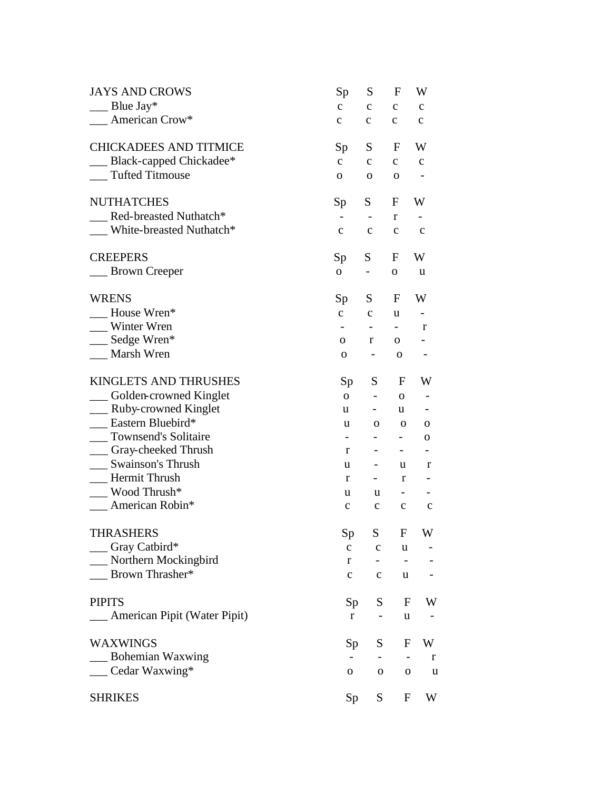| <b>JAYS AND CROWS</b>             | Sp                           | S                            | F                            | W            |
|-----------------------------------|------------------------------|------------------------------|------------------------------|--------------|
| $\Box$ Blue Jay*                  | $\mathbf{C}$                 | $\mathbf C$                  | $\mathbf c$                  | $\mathbf{C}$ |
| American Crow*                    | $\mathbf{C}$                 | $\mathbf c$                  | $\mathbf{C}$                 | $\mathbf c$  |
| <b>CHICKADEES AND TITMICE</b>     | Sp                           | S                            | $\mathbf{F}$                 | W            |
| __ Black-capped Chickadee*        | $\mathbf{C}$                 | $\mathbf{C}$                 | $\mathbf C$                  | $\mathbf{C}$ |
| <b>Tufted Titmouse</b>            | 0                            | 0                            | $\mathbf 0$                  |              |
| <b>NUTHATCHES</b>                 | Sp                           | S                            | F                            | W            |
| Red-breasted Nuthatch*            | $\overline{\phantom{a}}$     | $\qquad \qquad \blacksquare$ | r                            |              |
| White-breasted Nuthatch*          | $\mathbf c$                  | $\mathbf C$                  | $\mathbf c$                  | $\mathbf{C}$ |
| <b>CREEPERS</b>                   | Sp                           | S                            | F                            | W            |
| __ Brown Creeper                  | 0                            | $\overline{\phantom{0}}$     | 0                            | u            |
| <b>WRENS</b>                      | Sp                           | S                            | F                            | W            |
| House Wren*                       | $\mathbf{C}$                 | $\mathbf c$                  | u                            | -            |
| Winter Wren                       | $\qquad \qquad \blacksquare$ | $-$                          | $\blacksquare$               | r            |
| __ Sedge Wren*                    | 0                            | $\mathbf r$                  | $\mathbf 0$                  |              |
| Marsh Wren                        | $\mathbf 0$                  | Ξ.                           | $\mathbf 0$                  |              |
| <b>KINGLETS AND THRUSHES</b>      | Sp                           | S                            | F                            | W            |
| __ Golden-crowned Kinglet         | $\overline{O}$               | $\blacksquare$               | $\mathbf 0$                  |              |
| __ Ruby-crowned Kinglet           | u                            | $\sim$                       | u                            |              |
| Eastern Bluebird*                 | u                            | 0                            | $\mathbf 0$                  | 0            |
| __ Townsend's Solitaire           | $\overline{\phantom{0}}$     | $\overline{\phantom{0}}$     | $\overline{\phantom{a}}$     | 0            |
| <sub>__</sub> Gray-cheeked Thrush | r                            | $\qquad \qquad \blacksquare$ | $\qquad \qquad \blacksquare$ |              |
| <b>Swainson's Thrush</b>          | u                            | $\qquad \qquad \blacksquare$ | u                            | r            |
| <b>Hermit Thrush</b>              | r                            | $\sim$                       | r                            |              |
| Wood Thrush*                      | u                            | u                            | $\qquad \qquad \blacksquare$ |              |
| American Robin*                   | $\mathbf{C}$                 | $\mathbf c$                  | $\mathbf c$                  | $\mathbf c$  |
| <b>THRASHERS</b>                  | Sp                           | S                            | $\mathbf F$                  | W            |
| $\equiv$ Gray Catbird*            | $\mathbf c$                  | $\mathbf{C}$                 | u                            |              |
| __ Northern Mockingbird           | $\mathbf r$                  |                              |                              |              |
| _ Brown Thrasher*                 | $\mathbf c$                  | $\mathbf c$                  | u                            |              |
| <b>PIPITS</b>                     | Sp <sub>1</sub>              | S                            | F                            | W            |
| __ American Pipit (Water Pipit)   | r                            |                              | u                            |              |
| <b>WAXWINGS</b>                   | Sp                           | S                            | F                            | W            |
| __ Bohemian Waxwing               |                              | $\qquad \qquad \blacksquare$ |                              | r            |
| $\_\_$ Cedar Waxwing*             | 0                            | 0                            | 0                            | u            |
| <b>SHRIKES</b>                    | Sp                           | S                            | F                            | W            |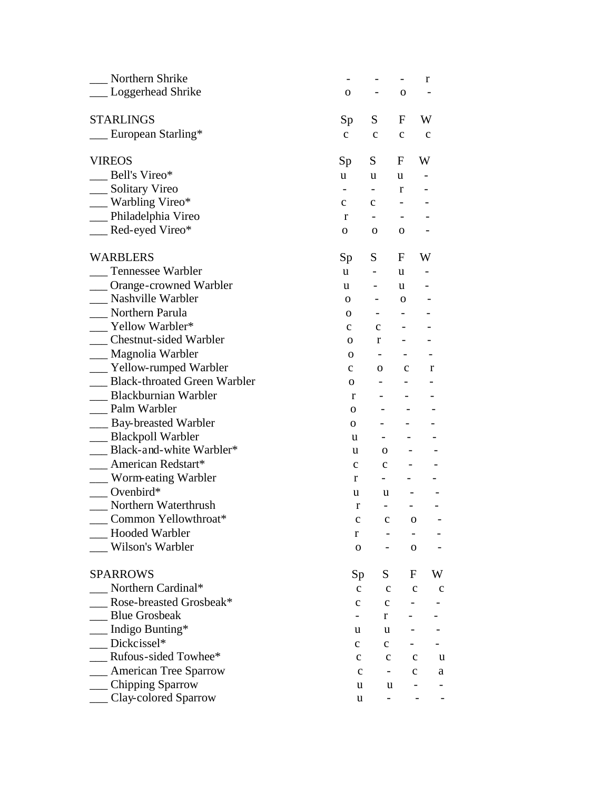| Northern Shrike                     |              |                          |              | r           |
|-------------------------------------|--------------|--------------------------|--------------|-------------|
| Loggerhead Shrike                   | 0            |                          | O            |             |
|                                     |              |                          |              |             |
| <b>STARLINGS</b>                    | Sp           | S                        | F            | W           |
| European Starling*                  | $\mathbf{C}$ | $\mathbf{C}$             | $\mathbf c$  | $\mathbf c$ |
| <b>VIREOS</b>                       | Sp           | S                        | F            | W           |
| Bell's Vireo*                       | <b>u</b>     | u                        | u            |             |
| Solitary Vireo                      |              | $\overline{\phantom{a}}$ | r            |             |
| _ Warbling Vireo*                   | $\mathbf{C}$ | $\mathbf{C}$             |              |             |
| __ Philadelphia Vireo               | r            |                          |              |             |
| _Red-eyed Vireo*                    | 0            | 0                        | $\mathbf{O}$ |             |
| <b>WARBLERS</b>                     | Sp           | S                        | F            | W           |
| <b>Tennessee Warbler</b>            | u.           |                          | u            |             |
| Orange-crowned Warbler              | u            |                          | u            |             |
| Nashville Warbler                   | 0            | -                        | 0            |             |
| Northern Parula                     | 0            |                          |              |             |
| Yellow Warbler*                     | $\mathbf{c}$ | $\mathbf{c}$             |              |             |
| <b>Chestnut-sided Warbler</b>       | О.           | r                        |              |             |
| __ Magnolia Warbler                 | $\mathbf{O}$ |                          |              |             |
| Yellow-rumped Warbler               | $\mathbf{C}$ | 0                        | $\mathbf c$  | r           |
| <b>Black-throated Green Warbler</b> | 0            |                          |              |             |
| Blackburnian Warbler                | r            | $\overline{\phantom{0}}$ |              |             |
| Palm Warbler                        | 0            |                          |              |             |
| <b>Bay-breasted Warbler</b>         | 0            |                          |              |             |
| _ Blackpoll Warbler                 | u            |                          |              |             |
| Black-and-white Warbler*            | u            | 0                        |              |             |
| American Redstart*                  | $\mathbf c$  | $\mathbf c$              |              |             |
| Worm-eating Warbler                 | r            |                          |              |             |
| Ovenbird $*$                        | u            | u                        |              |             |
| Northern Waterthrush                | r            |                          |              |             |
| Common Yellowthroat*                | c            | c                        | о            |             |
| <b>Hooded Warbler</b>               | r            |                          |              |             |
| Wilson's Warbler                    | $\mathbf 0$  |                          | $\mathbf{O}$ |             |
| <b>SPARROWS</b>                     | Sp           | S                        | F            | W           |
| Northern Cardinal*                  | $\mathbf{C}$ | $\mathbf c$              | $\mathbf{C}$ | $\mathbf c$ |
| Rose-breasted Grosbeak*             | с            | $\mathbf c$              |              |             |
| <b>Blue Grosbeak</b>                |              | r                        |              |             |
| Indigo Bunting*                     | u            | u                        |              |             |
| Dickcissel*                         | с            | $\mathbf{c}$             |              |             |
| Rufous-sided Towhee*                | $\mathbf c$  | $\mathbf c$              | $\mathbf c$  | u           |
| <b>American Tree Sparrow</b>        |              |                          |              |             |
| Chipping Sparrow                    | $\mathbf c$  | $\blacksquare$           | $\mathbf c$  | a           |
| Clay-colored Sparrow                | u            | u                        |              |             |
|                                     | u            |                          |              |             |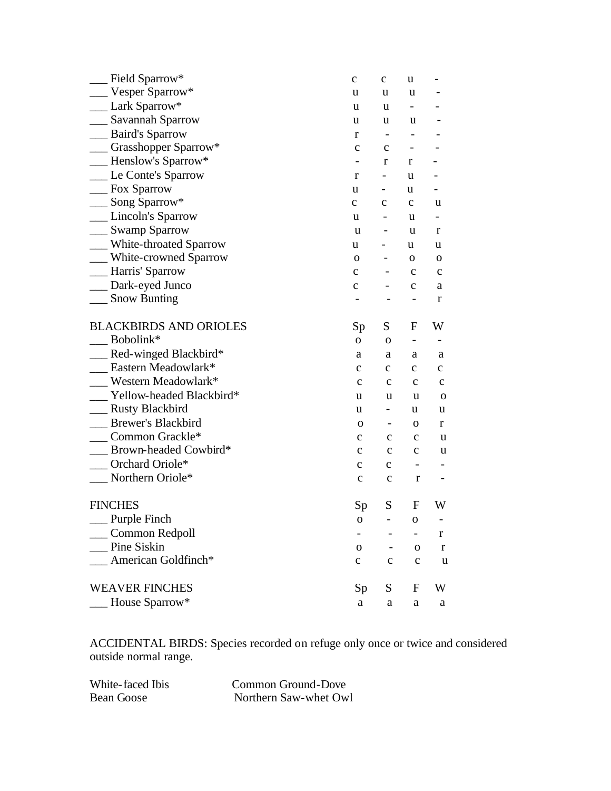| Field Sparrow*                | $\mathbf C$  | $\mathbf C$              | u           |              |
|-------------------------------|--------------|--------------------------|-------------|--------------|
| Vesper Sparrow*               | u            | u                        | u           |              |
| Lark Sparrow*                 | u            | u                        | -           |              |
| Savannah Sparrow              | u            | u                        | u           |              |
| <b>Baird's Sparrow</b>        | r            |                          |             |              |
| Grasshopper Sparrow*          | $\mathbf{C}$ | $\mathbf c$              |             |              |
| Henslow's Sparrow*            |              | r                        | r           |              |
| Le Conte's Sparrow            | r            | -                        | u           |              |
| Fox Sparrow                   | u            |                          | u           |              |
| Song Sparrow*                 | $\mathbf{C}$ | $\mathbf c$              | $\mathbf c$ | u            |
| Lincoln's Sparrow             | u            | -                        | u           |              |
| __ Swamp Sparrow              | u            |                          | u           | r            |
| White-throated Sparrow        | u            |                          | u           | u            |
| White-crowned Sparrow         | O            |                          | 0           | о            |
| __ Harris' Sparrow            | $\mathbf{C}$ |                          | $\mathbf c$ | $\mathbf{C}$ |
| Dark-eyed Junco               | $\mathbf C$  |                          | $\mathbf c$ | a            |
| <b>Snow Bunting</b>           |              |                          |             | r            |
| <b>BLACKBIRDS AND ORIOLES</b> | Sp           | S                        | F           | W            |
| Bobolink*                     | 0            | $\mathbf 0$              |             |              |
| Red-winged Blackbird*         | a            | a                        | a           | a            |
| Eastern Meadowlark*           | $\mathbf c$  | $\mathbf c$              | $\mathbf c$ | $\mathbf C$  |
| Western Meadowlark*           | $\mathbf c$  | $\mathbf c$              | $\mathbf c$ | $\mathbf c$  |
| Yellow-headed Blackbird*      | u            | u                        | u           | $\mathbf 0$  |
| <b>Rusty Blackbird</b>        | u            | Ξ.                       | u           | u            |
| <b>Brewer's Blackbird</b>     | 0            |                          | 0           | r            |
| Common Grackle*               | c            | с                        | $\mathbf c$ | u            |
| Brown-headed Cowbird*         | $\mathbf c$  | $\mathbf c$              | $\mathbf c$ | u            |
| Orchard Oriole*               | c            | c                        | -           |              |
| Northern Oriole*              | $\mathbf c$  | $\mathbf c$              | $\bf r$     |              |
| <b>FINCHES</b>                | Sp           | S                        | F           | W            |
| _Purple Finch                 | 0            |                          | O           |              |
| Common Redpoll                |              |                          |             | r            |
| Pine Siskin                   | O            | $\overline{\phantom{a}}$ | O           | r            |
| American Goldfinch*           | $\mathbf c$  | $\mathbf c$              | $\mathbf c$ | u            |
| <b>WEAVER FINCHES</b>         | Sp           | S                        | F           | W            |
| House Sparrow*                | a            | a                        | a           | a            |
|                               |              |                          |             |              |

ACCIDENTAL BIRDS: Species recorded on refuge only once or twice and considered outside normal range.

White-faced Ibis Common Ground-Dove<br>Bean Goose Northern Saw-whet Ow Northern Saw-whet Owl